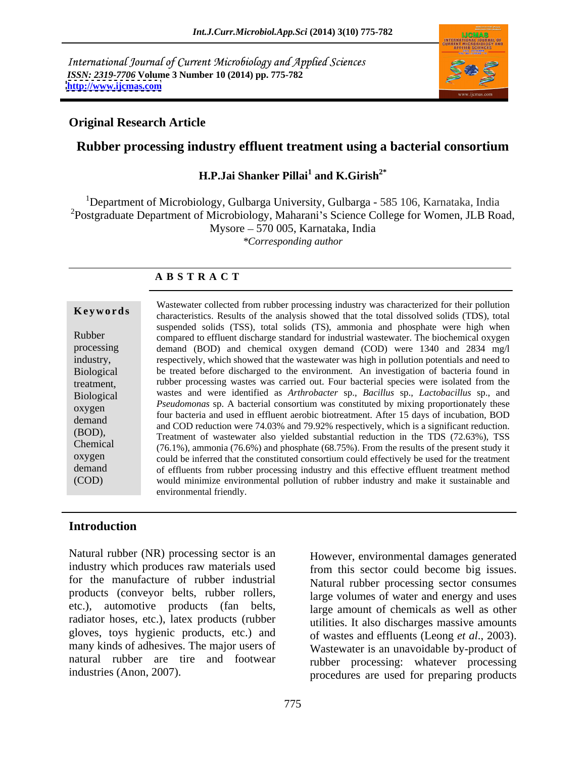International Journal of Current Microbiology and Applied Sciences *ISSN: 2319-7706* **Volume 3 Number 10 (2014) pp. 775-782 <http://www.ijcmas.com>**



## **Original Research Article**

# **Rubber processing industry effluent treatment using a bacterial consortium**

#### **H.P.Jai Shanker Pillai<sup>1</sup> and K.Girish<sup>2\*</sup> and K.Girish2\***

<sup>1</sup>Department of Microbiology, Gulbarga University, Gulbarga - 585 106, Karnataka, India <sup>2</sup>Postgraduate Department of Microbiology, Maharani's Science College for Women, JLB Road, Mysore 570 005, Karnataka, India *\*Corresponding author* 

### **A B S T R A C T**

**Keywords** characteristics. Results of the analysis showed that the total dissolved solids (TDS), total Rubber compared to effluent discharge standard for industrial wastewater. The biochemical oxygen processing demand (BOD) and chemical oxygen demand (COD) were 1340 and 2834 mg/l industry, respectively, which showed that the wastewater was high in pollution potentials and need to Biological be treated before discharged to the environment. An investigation of bacteria found in treatment, rubber processing wastes was carried out. Four bacterial species were isolated from the Biological wastes and were identified as *Arthrobacter* sp., *Bacillus* sp., *Lactobacillus* sp., and oxygen *Pseudomonas* sp. A bacterial consortium was constituted by mixing proportionately these demand and bacteria and used in errittent action.<br>
and COD reduction were 74.03% and 79.92% respectively, which is a significant reduction. (BOD),<br>
Treatment of wastewater also yielded substantial reduction in the TDS (72.63%), TSS Chemical  $(76.1\%)$ , ammonia  $(76.6\%)$  and phosphate  $(68.75\%)$ . From the results of the present study it oxygen could be inferred that the constituted consortium could effectively be used for the treatment demand of effluents from rubber processing industry and this effective effluent treatment method (COD) would minimize environmental pollution of rubber industry and make it sustainable and Wastewater collected from rubber processing industry was characterized for their pollution suspended solids (TSS), total solids (TS), ammonia and phosphate were high when four bacteria and used in effluent aerobic biotreatment. After 15 days of incubation, BOD environmental friendly.

## **Introduction**

Natural rubber (NR) processing sector is an However, environmental damages generated industry which produces raw materials used for the manufacture of rubber industrial products (conveyor belts, rubber rollers, etc.), automotive products (fan belts, radiator hoses, etc.), latex products (rubber gloves, toys hygienic products, etc.) and many kinds of adhesives. The major users of natural rubber are tire and footwear Natural rubber (NR) processing sector is an<br>
industry which produces raw materials used<br>
from this sector could become big issues.<br>
for the manufacture of rubber industrial<br>
products (conveyor belts, rubber rollers,<br>
large

from this sector could become big issues. Natural rubber processing sector consumes large volumes of water and energy and uses large amount of chemicals as well as other utilities. It also discharges massive amounts of wastes and effluents (Leong *et al*., 2003). Wastewater is an unavoidable by-product of rubber processing: whatever processing procedures are used for preparing products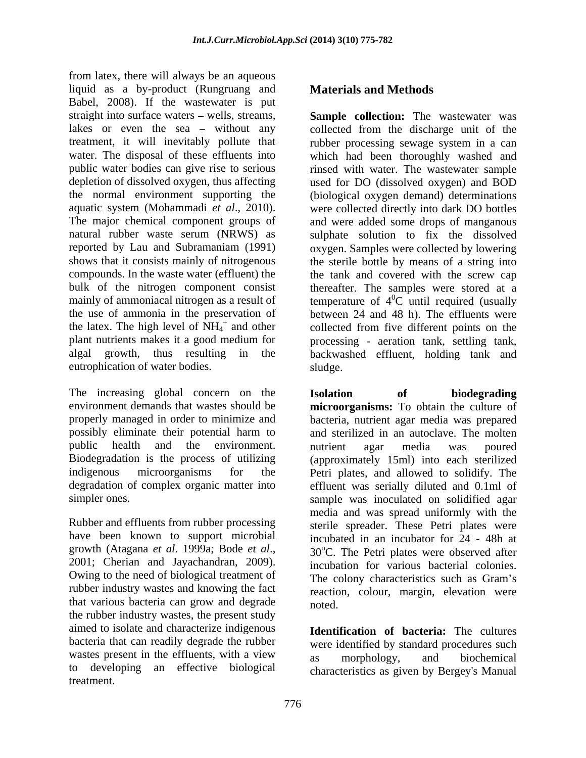from latex, there will always be an aqueous liquid as a by-product (Rungruang and Babel, 2008). If the wastewater is put straight into surface waters – wells, streams, **Sample collection:** The wastewater was lakes or even the sea – without any collected from the discharge unit of the treatment, it will inevitably pollute that rubber processing sewage system in a can water. The disposal of these effluents into which had been thoroughly washed and public water bodies can give rise to serious rinsed with water. The wastewater sample depletion of dissolved oxygen, thus affecting used for DO (dissolved oxygen) and BOD the normal environment supporting the (biological oxygen demand) determinations aquatic system (Mohammadi *et al.*, 2010). were collected directly into dark DO bottles<br>The major chemical component groups of and were added some drops of manganous natural rubber waste serum (NRWS) as sulphate solution to fix the dissolved reported by Lau and Subramaniam (1991) oxygen. Samples were collected by lowering shows that it consists mainly of nitrogenous compounds. In the waste water (effluent) the tank and covered with the screw cap bulk of the nitrogen component consist thereafter. The samples were stored at a mainly of ammoniacal nitrogen as a result of  $\mu^0C$  until required (usually the use of ammonia in the preservation of between 24 and 48 h). The effluents were the latex. The high level of  $NH_4^+$  and other<br>plant nutrients makes it a good medium for plant nutrients makes it a good medium for processing - aeration tank, settling tank, algal growth, thus resulting in the backwashed effluent, holding tank and eutrophication of water bodies. Sludge.

The increasing global concern on the **Isolation** of **biodegrading** 

Rubber and effluents from rubber processing Owing to the need of biological treatment of rubber industry wastes and knowing the fact that various bacteria can grow and degrade the rubber industry wastes, the present study aimed to isolate and characterize indigenous bacteria that can readily degrade the rubber were identified by standard procedures such wastes present in the effluents, with a view as morphology, and biochemical to developing an effective biological treatment.

# **Materials and Methods**

and other collected from five different points on the were collected directly into dark DO bottles and were added some drops of manganous the sterile bottle by means of a string into  ${}^{0}C$  until required (usually sludge. The state of the state of the state of the state of the state of the state of the state of the state of the state of the state of the state of the state of the state of the state of the state of the state of the st

environment demands that wastes should be **microorganisms:** To obtain the culture of properly managed in order to minimize and bacteria, nutrient agar media was prepared possibly eliminate their potential harm to and sterilized in an autoclave. The molten public health and the environment. In intrient agar media was poured Biodegradation is the process of utilizing (approximately 15ml) into each sterilized indigenous microorganisms for the Petri plates, and allowed to solidify. The degradation of complex organic matter into effluent was serially diluted and 0.1ml of simpler ones. sample was inoculated on solidified agar have been known to support microbial incubated in an incubator for 24 - 48h at growth (Atagana *et al.* 1999a; Bode *et al.*, 20<sup>o</sup>C. The Petri plates were observed after 2001; Cherian and Jayachandran, 2009). <br>2001; Cherian and Jayachandran, 2009). <br>2001; Cherian and Jayachandran, 2009). **Isolation of biodegrading** nutrient agar media was poured media and was spread uniformly with the sterile spreader. These Petri plates were  $30^{\circ}$ C. The Petri plates were observed after incubation for various bacterial colonies. The colony characteristics such as Gram's reaction, colour, margin, elevation were noted.

> **Identification of bacteria:** The cultures as morphology, and biochemical characteristics as given by Bergey's Manual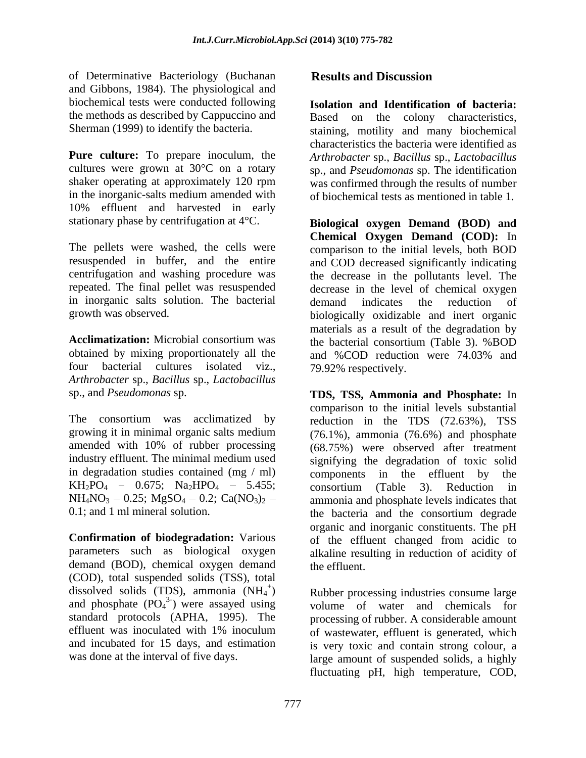of Determinative Bacteriology (Buchanan Results and Discussion and Gibbons, 1984). The physiological and biochemical tests were conducted following the methods as described by Cappuccino and

**Pure culture:** To prepare inoculum, the *Arthrobacter* sp., *Bacillus* sp., *Lactobacillus*  cultures were grown at 30°C on a rotary sp., and *Pseudomonas* sp. The identification shaker operating at approximately 120 rpm was confirmed through the results of number in the inorganic-salts medium amended with of biochemical tests as mentioned in table 1. 10% effluent and harvested in early

The pellets were washed, the cells were in inorganic salts solution. The bacterial demand indicates the reduction of

obtained by mixing proportionately all the and %COD reduction were 74.03% and four bacterial cultures isolated viz., *Arthrobacter* sp., *Bacillus* sp., *Lactobacillus* 

in degradation studies contained  $(mg / ml)$  components in the effluent by the  $KH_2PO_4 - 0.675$ ; Na<sub>2</sub>HPO<sub>4</sub> - 5.455; consortium (Table 3). Reduction in<br>NH<sub>4</sub>NO<sub>3</sub> - 0.25; MgSO<sub>4</sub> - 0.2; Ca(NO<sub>3</sub>)<sub>2</sub> - ammonia and phosphate levels indicates that

demand (BOD), chemical oxygen demand the effluent (COD), total suspended solids (TSS), total dissolved solids (TDS), ammonia  $(NH_4^+)$ and phosphate  $(PO<sub>4</sub><sup>3</sup>)$  were assayed using<br>standard protocols (APHA, 1995). The standard protocols (APHA, 1995). The processing of rubber. A considerable amount effluent was inoculated with 1% inoculum of wastewater, effluent is generated, which and incubated for 15 days, and estimation is very toxic and contain strong colour, a

# **Results and Discussion**

Sherman (1999) to identify the bacteria. staining, motility and many biochemical **Isolation and Identification of bacteria:**  Based on the colony characteristics, characteristics the bacteria were identified as

stationary phase by centrifugation at 4°C. **Biological oxygen Demand (BOD) and** resuspended in buffer, and the entire and COD decreased significantly indicating centrifugation and washing procedure was the decrease in the pollutants level. The repeated. The final pellet was resuspended decrease in the level of chemical oxygen growth was observed. biologically oxidizable and inert organic **Acclimatization:** Microbial consortium was the bacterial consortium (Table 3). %BOD **Chemical Oxygen Demand (COD):** In comparison to the initial levels, both BOD demand indicates the reduction of materials as a result of the degradation by and %COD reduction were 74.03% and 79.92% respectively.

sp., and *Pseudomonas* sp. **TDS, TSS, Ammonia and Phosphate:** In The consortium was acclimatized by reduction in the TDS (72.63%), TSS growing it in minimal organic salts medium (76.1%), ammonia (76.6%) and phosphate amended with 10% of rubber processing (68.75%) were observed after treatment industry effluent. The minimal medium used signifying the degradation of toxic solid  $NH_4NO_3 - 0.25$ ;  $MgSO_4 - 0.2$ ;  $Ca(NO_3)_2 -$  ammonia and phosphate levels indicates that 0.1; and 1 ml mineral solution. the bacteria and the consortium degrade **Confirmation of biodegradation:** Various of the effluent changed from acidic to parameters such as biological oxygen alkaline resulting in reduction of acidity of comparison to the initial levels substantial components in the effluent by consortium (Table 3). Reduction in organic and inorganic constituents. The pH the effluent.

) Rubber processing industries consume large <sup>3-</sup>) were assayed using volume of water and chemicals for was done at the interval of five days. large amount of suspended solids, a highly fluctuating pH, high temperature, COD,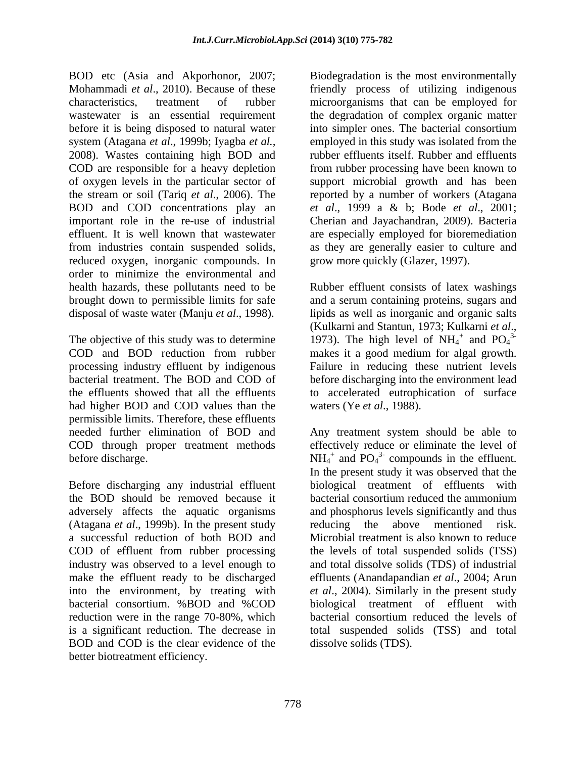BOD etc (Asia and Akporhonor, 2007; Mohammadi *et al*., 2010). Because of these friendly process of utilizing indigenous characteristics, treatment of rubber microorganisms that can be employed for wastewater is an essential requirement the degradation of complex organic matter before it is being disposed to natural water system (Atagana *et al*., 1999b; Iyagba *et al.,* 2008). Wastes containing high BOD and rubber effluents itself. Rubber and effluents COD are responsible for a heavy depletion from rubber processing have been known to of oxygen levels in the particular sector of support microbial growth and has been the stream or soil (Tariq *et al*., 2006). The reported by a number of workers (Atagana BOD and COD concentrations play an *et al*., 1999 a & b; Bode *et al*., 2001; important role in the re-use of industrial Cherian and Jayachandran, 2009). Bacteria effluent. It is well known that wastewater are especially employed for bioremediation from industries contain suspended solids, as they are generally easier to culture and reduced oxygen, inorganic compounds. In order to minimize the environmental and

processing industry effluent by indigenous had higher BOD and COD values than the permissible limits. Therefore, these effluents COD through proper treatment methods

(Atagana *et al*., 1999b). In the present study BOD and COD is the clear evidence of the better biotreatment efficiency.

Biodegradation is the most environmentally into simpler ones. The bacterial consortium employed in this study was isolated from the grow more quickly (Glazer, 1997).

health hazards, these pollutants need to be Rubber effluent consists of latex washings brought down to permissible limits for safe and a serum containing proteins, sugars and disposal of waste water (Manju *et al*., 1998). lipids as well as inorganic and organic salts The objective of this study was to determine 1973). The high level of  $NH_4^+$  and  $PO_4^3$ COD and BOD reduction from rubber makes it a good medium foralgal growth. bacterial treatment. The BOD and COD of before discharging into the environment lead the effluents showed that all the effluents to accelerated eutrophication of surface (Kulkarni and Stantun, 1973; Kulkarni *et al.*, 1973). The high level of  $NH<sub>4</sub><sup>+</sup>$  and  $PO<sub>4</sub><sup>3</sup>$ and  $PO_4^{3-}$ 3- Failure in reducing these nutrient levels waters (Ye *et al*., 1988).

needed further elimination of BOD and Any treatment system should be able to before discharge.  $NH_4^+$  and  $PO_4^3$ - compounds in the effluent. Before discharging any industrial effluent biological treatment of effluents with the BOD should be removed because it bacterial consortium reduced the ammonium adversely affects the aquatic organisms and phosphorus levels significantly and thus a successful reduction of both BOD and Microbial treatment is also known to reduce COD of effluent from rubber processing the levels of total suspended solids (TSS) industry was observed to a level enough to and total dissolve solids (TDS) of industrial make the effluent ready to be discharged effluents (Anandapandian *et al*., 2004; Arun into the environment, by treating with *et al*., 2004). Similarly in the present study bacterial consortium. %BOD and %COD biological treatment of effluent with reduction were in the range 70-80%, which bacterial consortium reduced the levels of is a significant reduction. The decrease in total suspended solids (TSS) and total effectively reduce or eliminate the level of In the present study it was observed that the the above mentioned risk. dissolve solids (TDS).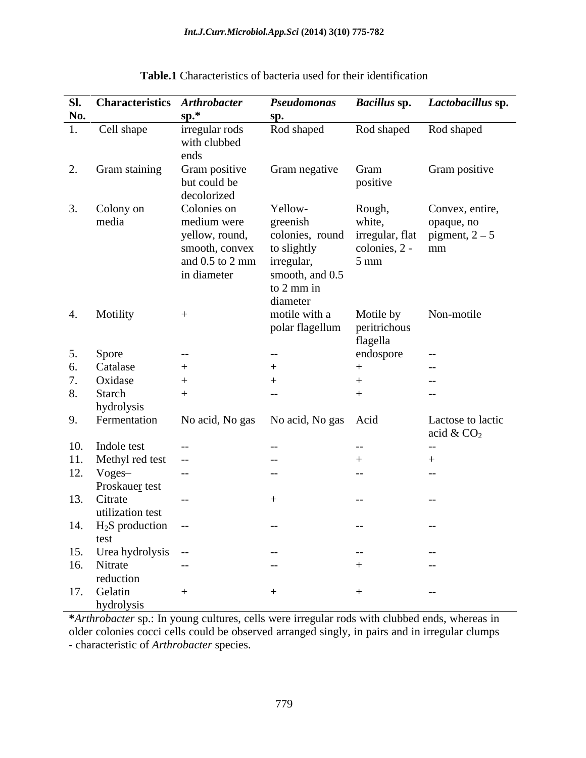|     | Sl. Characteristics Arthrobacter                      |                                        | Pseudomonas                     |                  | Bacillus sp. Lactobacillus sp. |
|-----|-------------------------------------------------------|----------------------------------------|---------------------------------|------------------|--------------------------------|
| No. |                                                       | $sp.*$                                 | sp.                             |                  |                                |
|     | 1. Cell shape                                         | irregular rods                         | Rod shaped                      |                  | Rod shaped Rod shaped          |
|     |                                                       | with clubbed                           |                                 |                  |                                |
|     |                                                       | ends                                   |                                 |                  |                                |
|     | 2. Gram staining                                      | Gram positive                          | Gram negative Gram              |                  | Gram positive                  |
|     |                                                       | but could be                           |                                 | positive         |                                |
|     |                                                       | decolorized                            |                                 |                  |                                |
|     | 3. Colony on                                          | Colonies on                            | Yellow-                         | Rough,           | Convex, entire,                |
|     | media                                                 | medium were                            | greenish                        | white,           | opaque, no                     |
|     |                                                       | yellow, round,                         | colonies, round irregular, flat |                  | pigment, $2-5$                 |
|     |                                                       | smooth, convex                         | to slightly                     | $colories, 2-mm$ |                                |
|     |                                                       | and $0.5$ to $2 \text{ mm}$ irregular, |                                 | $5 \text{ mm}$   |                                |
|     |                                                       | in diameter                            | smooth, and 0.5                 |                  |                                |
|     |                                                       |                                        | to 2 mm in<br>diameter          |                  |                                |
|     | 4. Motility                                           | $+$                                    | motile with a                   | Motile by        | Non-motile                     |
|     |                                                       |                                        | polar flagellum                 | peritrichous     |                                |
|     |                                                       |                                        |                                 | flagella         |                                |
| 5.  | Spore                                                 | $--$                                   | $--$                            | endospore        | $- - -$                        |
|     | 6. Catalase                                           | $+$                                    |                                 |                  | $- - -$                        |
|     | Oxidase                                               |                                        |                                 |                  | $--$                           |
|     | 8. Starch                                             | $+$                                    | $--$                            |                  | $ -$                           |
|     | hydrolysis                                            |                                        |                                 |                  |                                |
|     | 9. Fermentation                                       | No acid, No gas No acid, No gas Acid   |                                 |                  | Lactose to lactic              |
|     |                                                       |                                        |                                 |                  | acid & $CO2$                   |
|     | 10. Indole test                                       | $\sim$ $-$                             | $- -$                           | $--$             | $--$                           |
|     | 11. Methyl red test --                                |                                        | $--$                            | $^{+}$           |                                |
|     | 12. Voges-                                            | $\sim$ $\sim$ $\sim$                   | $-$                             | $- -$            | $--$                           |
|     | Proskauer test                                        |                                        |                                 |                  |                                |
|     | 13. Citrate                                           | $--$                                   | $+$                             | $- -$            | $- - -$                        |
|     | utilization test                                      |                                        |                                 |                  |                                |
|     | 14. $H_2S$ production --                              |                                        | $--$                            | $--$             | $- - -$                        |
|     | test<br>15. Urea hydrolysis --<br>16. Nitrate<br>red: |                                        |                                 |                  |                                |
|     |                                                       |                                        | $ -$                            | $- - -$          | $\sim$ $ -$                    |
|     |                                                       |                                        | $--$                            |                  | $--$                           |
|     | reduction                                             |                                        |                                 |                  |                                |
|     | 17. Gelatin                                           |                                        |                                 |                  | $- - -$                        |
|     | hydrolysis                                            |                                        |                                 |                  |                                |

**Table.1** Characteristics of bacteria used for their identification

**\****Arthrobacter* sp.: In young cultures, cells were irregular rods with clubbed ends, whereas in older colonies cocci cells could be observed arranged singly, in pairs and in irregular clumps - characteristic of *Arthrobacter* species.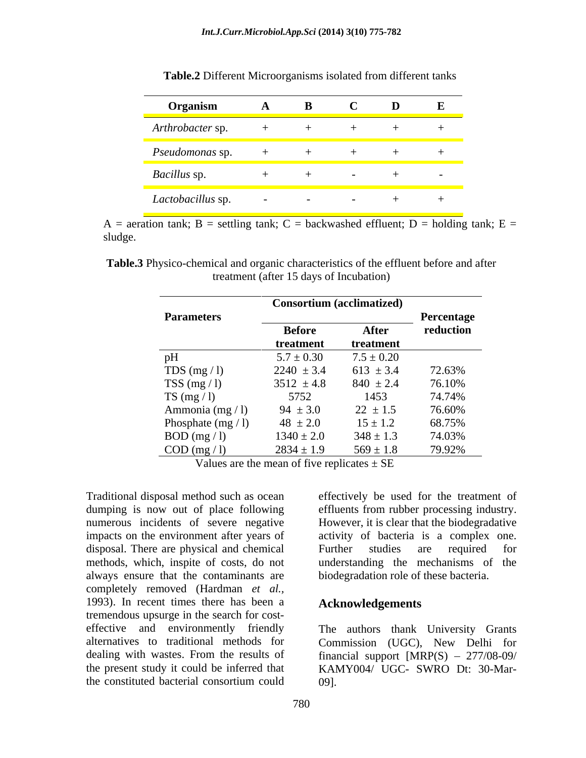| Organism               |  |  |  |
|------------------------|--|--|--|
| Arthrobacter sp.       |  |  |  |
| <i>Pseudomonas</i> sp. |  |  |  |
| Bacillus sp.           |  |  |  |
| Lactobacillus sp.      |  |  |  |

**Table.2** Different Microorganisms isolated from different tanks

A = aeration tank; B = settling tank; C = backwashed effluent; D = holding tank; E = sludge. The state of the state of the state of the state of the state of the state of the state of the state of the state of the state of the state of the state of the state of the state of the state of the state of the st

**Table.3** Physico-chemical and organic characteristics of the effluent before and after treatment (after 15 days of Incubation)

|                           | <b>Consortium (acclimatized)</b> |                |            |
|---------------------------|----------------------------------|----------------|------------|
| <b>Parameters</b>         |                                  |                | Percentage |
|                           | <b>Before</b>                    | After          | reduction  |
|                           | treatment                        | treatment      |            |
| pH                        | $5.7 \pm 0.30$                   | $7.5 \pm 0.20$ |            |
| TDS $(mg / l)$            | $2240 \pm 3.4$                   | $613 \pm 3.4$  | 72.63%     |
| TSS $(mg / 1)$            | $3512 \pm 4.8$                   | $840 \pm 2.4$  | 76.10%     |
| TS (mg $/$ l)             | 5752                             | 1453           | 74.74%     |
| Ammonia (mg / l)          | $94 \pm 3.0$                     | $22 \pm 1.5$   | 76.60%     |
| Phosphate $(mg / 1)$      | $48 \pm 2.0$                     | $15 \pm 1.2$   | 68.75%     |
| BOD (mg / 1)              | $1340 \pm 2.0$                   | $348\pm1.3$    | 74.03%     |
| $\overline{COD}$ (mg / l) | $2834 \pm 1.9$                   | $569 \pm 1.8$  | 79.92%     |

Values are the mean of five replicates  $\pm$  SE

Traditional disposal method such as ocean effectively be used for the treatment of dumping is now out of place following numerous incidents of severe negative However, it is clear that the biodegradative impacts on the environment after years of activity of bacteria is a complex one. disposal. There are physical and chemical methods, which, inspite of costs, do not always ensure that the contaminants are completely removed (Hardman *et al.,* 1993). In recent times there has been a tremendous upsurge in the search for cost effective and environmently friendly The authors thank University Grants alternatives to traditional methods for Commission (UGC), New Delhi for dealing with wastes. From the results of financial support [MRP(S) - 277/08-09/ the present study it could be inferred that KAMY004/ UGC- SWRO Dt: 30-Mar-

effluents from rubber processing industry. Further studies are required for understanding the mechanisms of the biodegradation role of these bacteria.

#### **Acknowledgements**

the constituted bacterial consortium could 09].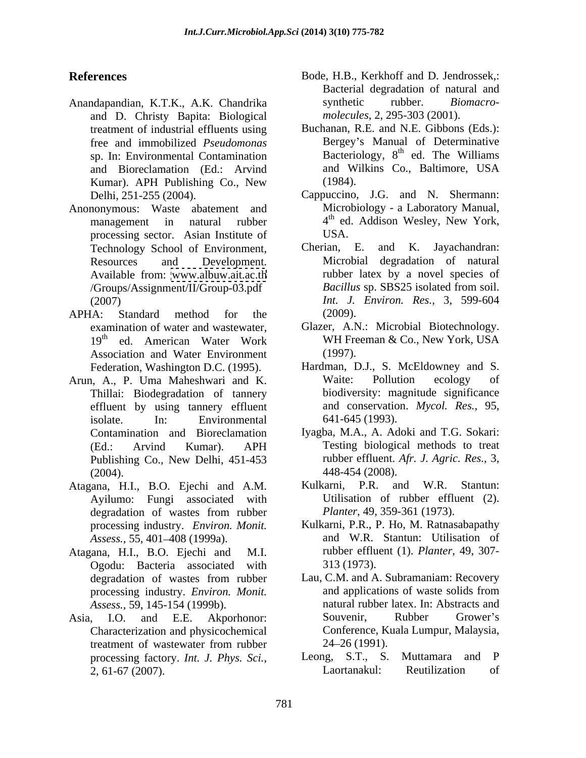- Anandapandian, K.T.K., A.K. Chandrika and D. Christy Bapita: Biological treatment of industrial effluents using Kumar). APH Publishing Co., New (1984).
- Anononymous: Waste abatement and processing sector. Asian Institute of USA.<br>Technology School of Environment. Cherian. E.
- APHA: Standard method for the (2009). Association and Water Environment (1997).
- Arun, A., P. Uma Maheshwari and K. Thillai: Biodegradation of tannery effluent by using tannery effluent isolate. In: Environmental 641-645 (1993). Publishing Co., New Delhi, 451-453 (2004). 448-454 (2008).
- Ayilumo: Fungi associated with degradation of wastes from rubber *Planter*, 49, 359-361 (1973). processing industry. *Environ. Monit.*
- Atagana, H.I., B.O. Ejechi and M.I. Ogodu: Bacteria associated with
- Characterization and physicochemical<br>treatment of wastewater from rubber  $24-26(1991)$ . treatment of wastewater from rubber  $24-26(1991)$ . 2, 61-67 (2007).
- **References** Bode, H.B., Kerkhoff and D. Jendrossek,: Bacterial degradation of natural and synthetic rubber. *Biomacro molecules*, 2, 295-303 (2001).
	- free and immobilized *Pseudomonas* Bergey s Manual of Determinative sp. In: Environmental Contamination Bacteriology, 8<sup>th</sup> ed. The Williams and Bioreclamation (Ed.: Arvind Buchanan, R.E. and N.E. Gibbons (Eds.): ed. The Williams and Wilkins Co., Baltimore, USA (1984).
	- Delhi, 251-255 (2004). Cappuccino, J.G. and N. Shermann: management in natural rubber 4<sup>th</sup> ed. Addison Wesley, New York, Microbiology - a Laboratory Manual, ed. Addison Wesley, New York, USA.
	- Technology School of Environment, Cherian, E. and K. Jayachandran: Resources and Development. Microbial degradation of natural Available from: [www.albuw.ait.ac.th](http://www.albuw.ait.ac.th) rubber latex by a novel species of /Groups/Assignment/II/Group-03.pdf (2007) *Int. J. Environ. Res.,* 3, 599-604 Cherian, E. and K. Jayachandran: *Bacillus* sp. SBS25 isolated from soil. (2009).
	- examination of water and wastewater, Glazer, A.N.: Microbial Biotechnology. 19<sup>th</sup> ed. American Water Work WH Freeman & Co., New York, USA (1997).
	- Federation, Washington D.C. (1995). Hardman, D.J., S. McEldowney and S. Waite: Pollution ecology of biodiversity: magnitude significance and conservation. *Mycol. Res.,* 95, 641-645 (1993).
	- Contamination and Bioreclamation Iyagba, M.A., A. Adoki and T.G. Sokari: (Ed.: Arvind Kumar). APH Testing biological methods to treat rubber effluent. *Afr. J. Agric. Res.,* 3,
- Atagana, H.I., B.O. Ejechi and A.M. Kulkarni, P.R. and W.R. Stantun: Utilisation of rubber effluent (2). *Planter*, 49, 359-361 (1973).
	- *Assess.,* 55, 401 408 (1999a). and W.R. Stantun: Utilisation of Kulkarni, P.R., P. Ho, M. Ratnasabapathy rubber effluent (1). *Planter*, 49, 307- 313 (1973).
- degradation of wastes from rubber Lau, C.M. and A. Subramaniam: Recovery processing industry. *Environ. Monit. Assess.,* 59, 145-154 (1999b). natural rubber latex. In: Abstracts and Asia, I.O. and E.E. Akporhonor: Lau, C.M. and A. Subramaniam: Recovery and applications of waste solids from Souvenir, Rubber Grower's Conference, Kuala Lumpur, Malaysia, 24 26 (1991).
	- processing factory. *Int. J. Phys. Sci.*, Leong, S.T., S. Muttamara and P<br>2.61-67 (2007) Laortanakul: Reutilization of Leong, S.T., S. Muttamara and Laortanakul: Reutilization of